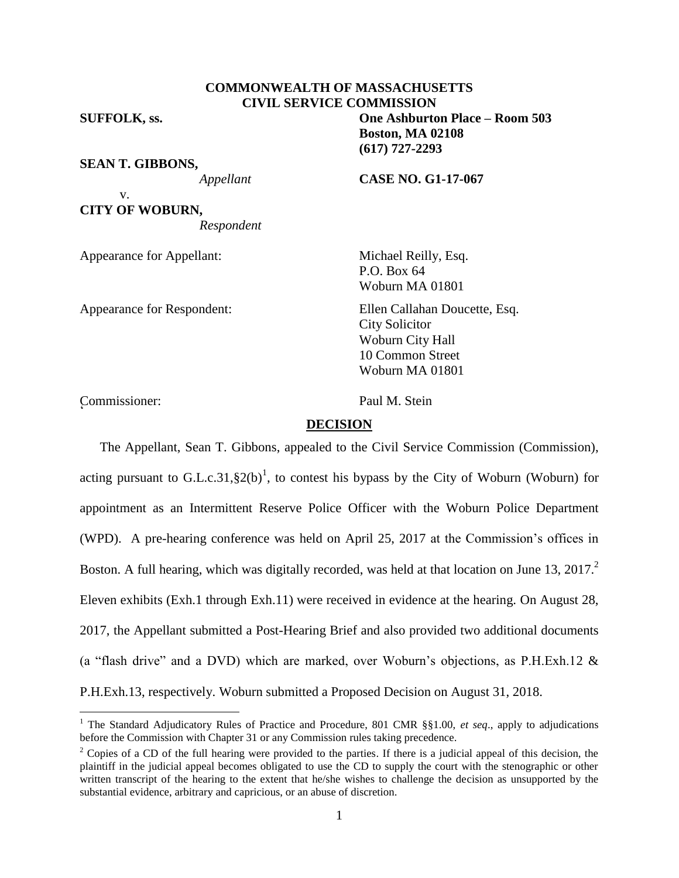### **COMMONWEALTH OF MASSACHUSETTS CIVIL SERVICE COMMISSION**

**SUFFOLK, ss. One Ashburton Place – Room 503**

**SEAN T. GIBBONS,**

*Appellant* **CASE NO. G1-17-067**

**Boston, MA 02108**

v. **CITY OF WOBURN,** *Respondent*

Appearance for Appellant: Michael Reilly, Esq.

Appearance for Respondent: Ellen Callahan Doucette, Esq.

P.O. Box 64 Woburn MA 01801

City Solicitor Woburn City Hall 10 Common Street Woburn MA 01801

Commissioner: Paul M. Stein <sup>2</sup>

 $\overline{a}$ 

### **DECISION**

The Appellant, Sean T. Gibbons, appealed to the Civil Service Commission (Commission), acting pursuant to G.L.c.31,  $\S2(b)^1$ , to contest his bypass by the City of Woburn (Woburn) for appointment as an Intermittent Reserve Police Officer with the Woburn Police Department (WPD). A pre-hearing conference was held on April 25, 2017 at the Commission's offices in Boston. A full hearing, which was digitally recorded, was held at that location on June 13, 2017. Eleven exhibits (Exh.1 through Exh.11) were received in evidence at the hearing. On August 28, 2017, the Appellant submitted a Post-Hearing Brief and also provided two additional documents (a "flash drive" and a DVD) which are marked, over Woburn's objections, as P.H.Exh.12 & P.H.Exh.13, respectively. Woburn submitted a Proposed Decision on August 31, 2018.

**(617) 727-2293**

<sup>1</sup> The Standard Adjudicatory Rules of Practice and Procedure, 801 CMR §§1.00, *et seq*., apply to adjudications before the Commission with Chapter 31 or any Commission rules taking precedence.

<sup>&</sup>lt;sup>2</sup> Copies of a CD of the full hearing were provided to the parties. If there is a judicial appeal of this decision, the plaintiff in the judicial appeal becomes obligated to use the CD to supply the court with the stenographic or other written transcript of the hearing to the extent that he/she wishes to challenge the decision as unsupported by the substantial evidence, arbitrary and capricious, or an abuse of discretion.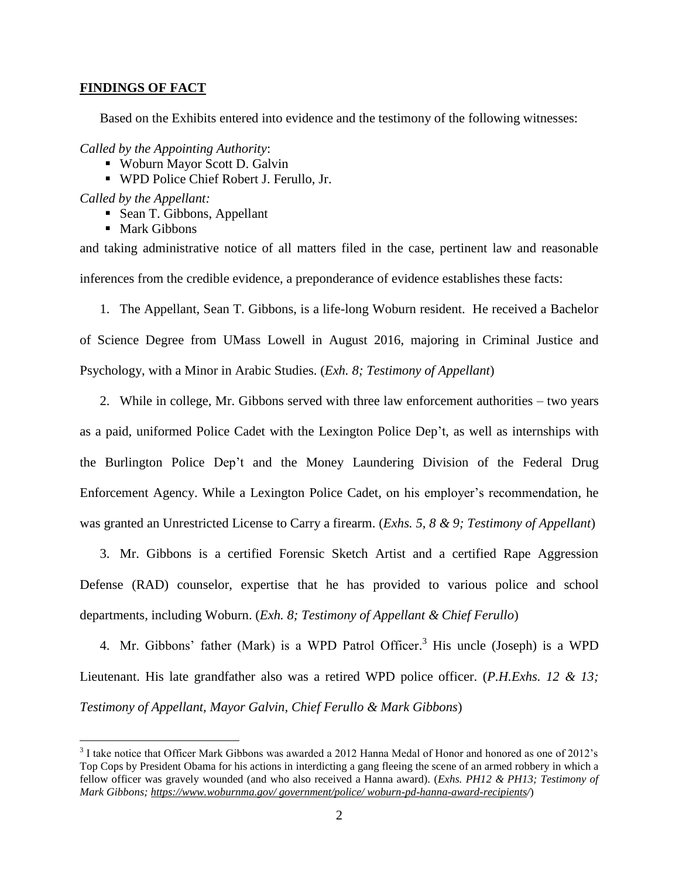### **FINDINGS OF FACT**

Based on the Exhibits entered into evidence and the testimony of the following witnesses:

*Called by the Appointing Authority*:

- Woburn Mayor Scott D. Galvin
- WPD Police Chief Robert J. Ferullo, Jr.

*Called by the Appellant:*

 $\overline{a}$ 

- Sean T. Gibbons, Appellant
- Mark Gibbons

and taking administrative notice of all matters filed in the case, pertinent law and reasonable inferences from the credible evidence, a preponderance of evidence establishes these facts:

1. The Appellant, Sean T. Gibbons, is a life-long Woburn resident. He received a Bachelor of Science Degree from UMass Lowell in August 2016, majoring in Criminal Justice and Psychology, with a Minor in Arabic Studies. (*Exh. 8; Testimony of Appellant*)

2. While in college, Mr. Gibbons served with three law enforcement authorities – two years as a paid, uniformed Police Cadet with the Lexington Police Dep't, as well as internships with the Burlington Police Dep't and the Money Laundering Division of the Federal Drug Enforcement Agency. While a Lexington Police Cadet, on his employer's recommendation, he was granted an Unrestricted License to Carry a firearm. (*Exhs. 5, 8 & 9; Testimony of Appellant*)

3. Mr. Gibbons is a certified Forensic Sketch Artist and a certified Rape Aggression Defense (RAD) counselor, expertise that he has provided to various police and school departments, including Woburn. (*Exh. 8; Testimony of Appellant & Chief Ferullo*)

4. Mr. Gibbons' father (Mark) is a WPD Patrol Officer. <sup>3</sup> His uncle (Joseph) is a WPD Lieutenant. His late grandfather also was a retired WPD police officer. (*P.H.Exhs. 12 & 13; Testimony of Appellant, Mayor Galvin, Chief Ferullo & Mark Gibbons*)

<sup>&</sup>lt;sup>3</sup> I take notice that Officer Mark Gibbons was awarded a 2012 Hanna Medal of Honor and honored as one of 2012's Top Cops by President Obama for his actions in interdicting a gang fleeing the scene of an armed robbery in which a fellow officer was gravely wounded (and who also received a Hanna award). (*Exhs. PH12 & PH13; Testimony of Mark Gibbons; https://www.woburnma.gov/ government/police/ woburn-pd-hanna-award-recipients/*)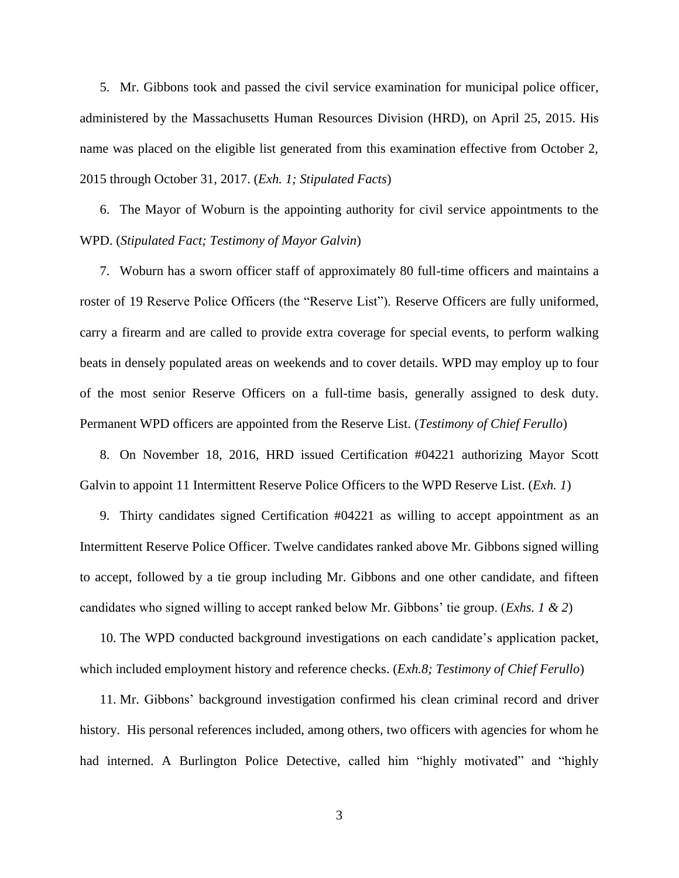5. Mr. Gibbons took and passed the civil service examination for municipal police officer, administered by the Massachusetts Human Resources Division (HRD), on April 25, 2015. His name was placed on the eligible list generated from this examination effective from October 2, 2015 through October 31, 2017. (*Exh. 1; Stipulated Facts*)

6. The Mayor of Woburn is the appointing authority for civil service appointments to the WPD. (*Stipulated Fact; Testimony of Mayor Galvin*)

7. Woburn has a sworn officer staff of approximately 80 full-time officers and maintains a roster of 19 Reserve Police Officers (the "Reserve List"). Reserve Officers are fully uniformed, carry a firearm and are called to provide extra coverage for special events, to perform walking beats in densely populated areas on weekends and to cover details. WPD may employ up to four of the most senior Reserve Officers on a full-time basis, generally assigned to desk duty. Permanent WPD officers are appointed from the Reserve List. (*Testimony of Chief Ferullo*)

8. On November 18, 2016, HRD issued Certification #04221 authorizing Mayor Scott Galvin to appoint 11 Intermittent Reserve Police Officers to the WPD Reserve List. (*Exh. 1*)

9. Thirty candidates signed Certification #04221 as willing to accept appointment as an Intermittent Reserve Police Officer. Twelve candidates ranked above Mr. Gibbons signed willing to accept, followed by a tie group including Mr. Gibbons and one other candidate, and fifteen candidates who signed willing to accept ranked below Mr. Gibbons' tie group. (*Exhs. 1 & 2*)

10. The WPD conducted background investigations on each candidate's application packet, which included employment history and reference checks. (*Exh.8; Testimony of Chief Ferullo*)

11. Mr. Gibbons' background investigation confirmed his clean criminal record and driver history. His personal references included, among others, two officers with agencies for whom he had interned. A Burlington Police Detective, called him "highly motivated" and "highly

3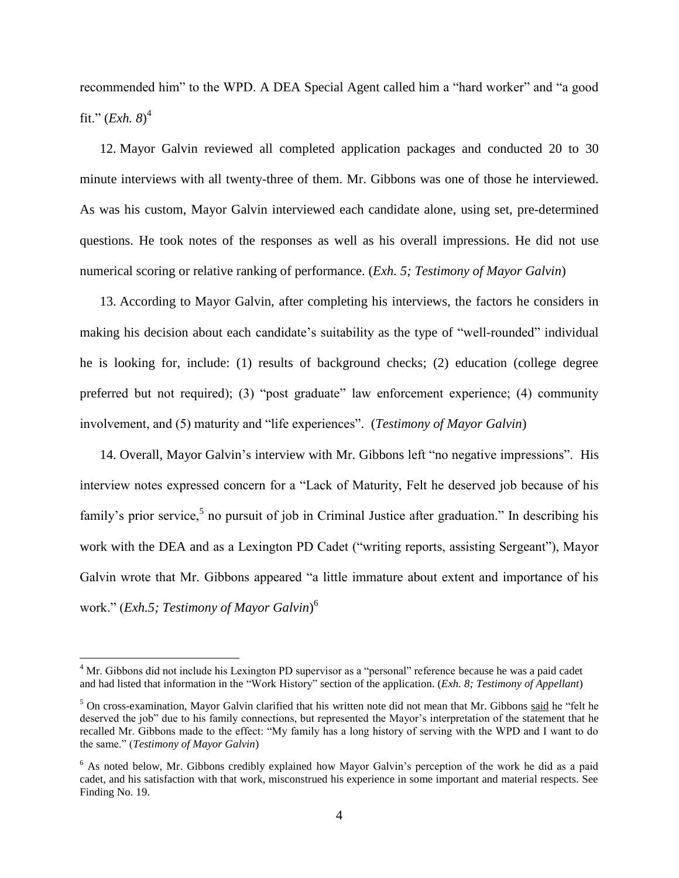recommended him" to the WPD. A DEA Special Agent called him a "hard worker" and "a good fit." (*Exh. 8*) 4

12. Mayor Galvin reviewed all completed application packages and conducted 20 to 30 minute interviews with all twenty-three of them. Mr. Gibbons was one of those he interviewed. As was his custom, Mayor Galvin interviewed each candidate alone, using set, pre-determined questions. He took notes of the responses as well as his overall impressions. He did not use numerical scoring or relative ranking of performance. (*Exh. 5; Testimony of Mayor Galvin*)

13. According to Mayor Galvin, after completing his interviews, the factors he considers in making his decision about each candidate's suitability as the type of "well-rounded" individual he is looking for, include: (1) results of background checks; (2) education (college degree preferred but not required); (3) "post graduate" law enforcement experience; (4) community involvement, and (5) maturity and "life experiences". (*Testimony of Mayor Galvin*)

14. Overall, Mayor Galvin's interview with Mr. Gibbons left "no negative impressions". His interview notes expressed concern for a "Lack of Maturity, Felt he deserved job because of his family's prior service,<sup>5</sup> no pursuit of job in Criminal Justice after graduation." In describing his work with the DEA and as a Lexington PD Cadet ("writing reports, assisting Sergeant"), Mayor Galvin wrote that Mr. Gibbons appeared "a little immature about extent and importance of his work." (*Exh.5; Testimony of Mayor Galvin*) 6

 $\overline{a}$ 

<sup>&</sup>lt;sup>4</sup> Mr. Gibbons did not include his Lexington PD supervisor as a "personal" reference because he was a paid cadet and had listed that information in the "Work History" section of the application. (*Exh. 8; Testimony of Appellant*)

 $<sup>5</sup>$  On cross-examination, Mayor Galvin clarified that his written note did not mean that Mr. Gibbons said he "felt he</sup> deserved the job" due to his family connections, but represented the Mayor's interpretation of the statement that he recalled Mr. Gibbons made to the effect: "My family has a long history of serving with the WPD and I want to do the same." (*Testimony of Mayor Galvin*)

<sup>&</sup>lt;sup>6</sup> As noted below, Mr. Gibbons credibly explained how Mayor Galvin's perception of the work he did as a paid cadet, and his satisfaction with that work, misconstrued his experience in some important and material respects. See Finding No. 19.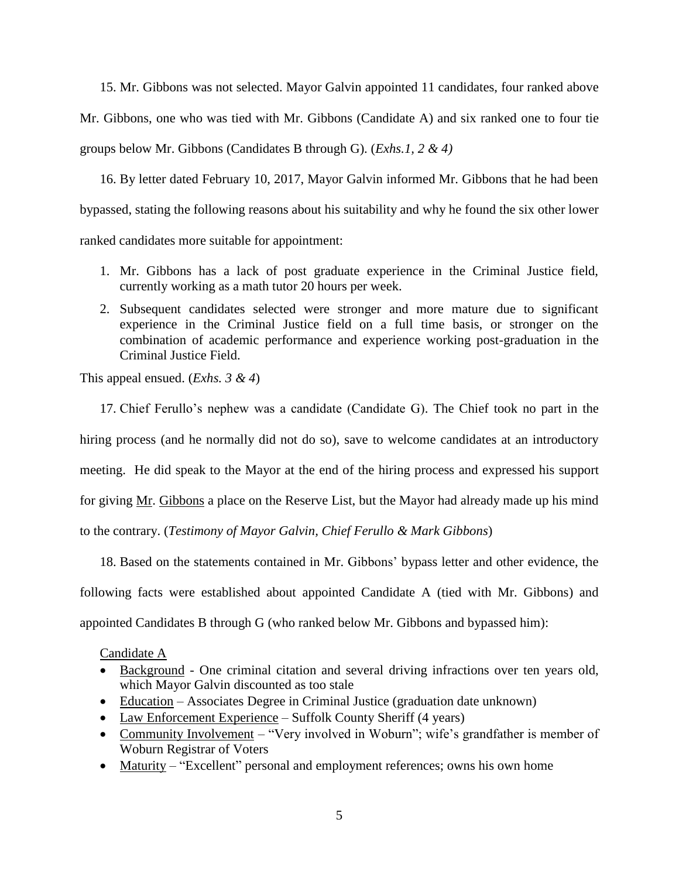15. Mr. Gibbons was not selected. Mayor Galvin appointed 11 candidates, four ranked above Mr. Gibbons, one who was tied with Mr. Gibbons (Candidate A) and six ranked one to four tie groups below Mr. Gibbons (Candidates B through G). (*Exhs.1, 2 & 4)*

16. By letter dated February 10, 2017, Mayor Galvin informed Mr. Gibbons that he had been bypassed, stating the following reasons about his suitability and why he found the six other lower ranked candidates more suitable for appointment:

- 1. Mr. Gibbons has a lack of post graduate experience in the Criminal Justice field, currently working as a math tutor 20 hours per week.
- 2. Subsequent candidates selected were stronger and more mature due to significant experience in the Criminal Justice field on a full time basis, or stronger on the combination of academic performance and experience working post-graduation in the Criminal Justice Field.

This appeal ensued. (*Exhs. 3 & 4*)

17. Chief Ferullo's nephew was a candidate (Candidate G). The Chief took no part in the hiring process (and he normally did not do so), save to welcome candidates at an introductory meeting. He did speak to the Mayor at the end of the hiring process and expressed his support for giving Mr. Gibbons a place on the Reserve List, but the Mayor had already made up his mind to the contrary. (*Testimony of Mayor Galvin, Chief Ferullo & Mark Gibbons*)

18. Based on the statements contained in Mr. Gibbons' bypass letter and other evidence, the following facts were established about appointed Candidate A (tied with Mr. Gibbons) and appointed Candidates B through G (who ranked below Mr. Gibbons and bypassed him):

Candidate A

- Background One criminal citation and several driving infractions over ten years old, which Mayor Galvin discounted as too stale
- Education Associates Degree in Criminal Justice (graduation date unknown)
- Law Enforcement Experience Suffolk County Sheriff (4 years)
- Community Involvement "Very involved in Woburn"; wife's grandfather is member of Woburn Registrar of Voters
- Maturity "Excellent" personal and employment references; owns his own home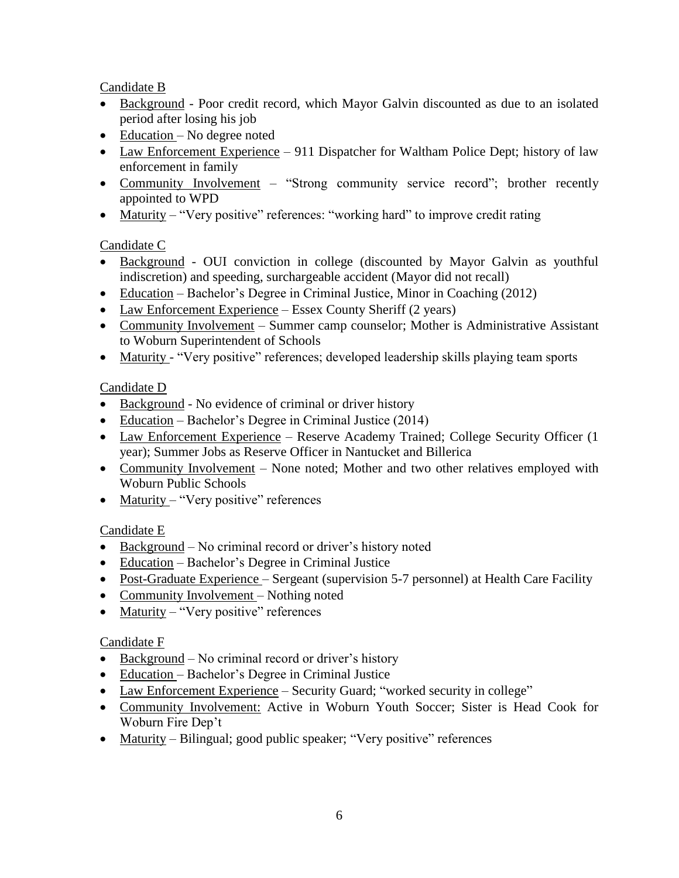Candidate B

- Background Poor credit record, which Mayor Galvin discounted as due to an isolated period after losing his job
- Education No degree noted
- Law Enforcement Experience 911 Dispatcher for Waltham Police Dept; history of law enforcement in family
- Community Involvement "Strong community service record"; brother recently appointed to WPD
- Maturity "Very positive" references: "working hard" to improve credit rating

# Candidate C

- Background OUI conviction in college (discounted by Mayor Galvin as youthful indiscretion) and speeding, surchargeable accident (Mayor did not recall)
- Education Bachelor's Degree in Criminal Justice, Minor in Coaching (2012)
- Law Enforcement Experience Essex County Sheriff (2 years)
- Community Involvement Summer camp counselor; Mother is Administrative Assistant to Woburn Superintendent of Schools
- Maturity "Very positive" references; developed leadership skills playing team sports

# Candidate D

- Background No evidence of criminal or driver history
- Education Bachelor's Degree in Criminal Justice (2014)
- Law Enforcement Experience Reserve Academy Trained; College Security Officer (1) year); Summer Jobs as Reserve Officer in Nantucket and Billerica
- Community Involvement None noted; Mother and two other relatives employed with Woburn Public Schools
- Maturity "Very positive" references

# Candidate E

- Background No criminal record or driver's history noted
- Education Bachelor's Degree in Criminal Justice
- Post-Graduate Experience Sergeant (supervision 5-7 personnel) at Health Care Facility
- Community Involvement Nothing noted
- Maturity "Very positive" references

# Candidate F

- $\bullet$  Background No criminal record or driver's history
- Education Bachelor's Degree in Criminal Justice
- Law Enforcement Experience Security Guard; "worked security in college"
- Community Involvement: Active in Woburn Youth Soccer; Sister is Head Cook for Woburn Fire Dep't
- Maturity Bilingual; good public speaker; "Very positive" references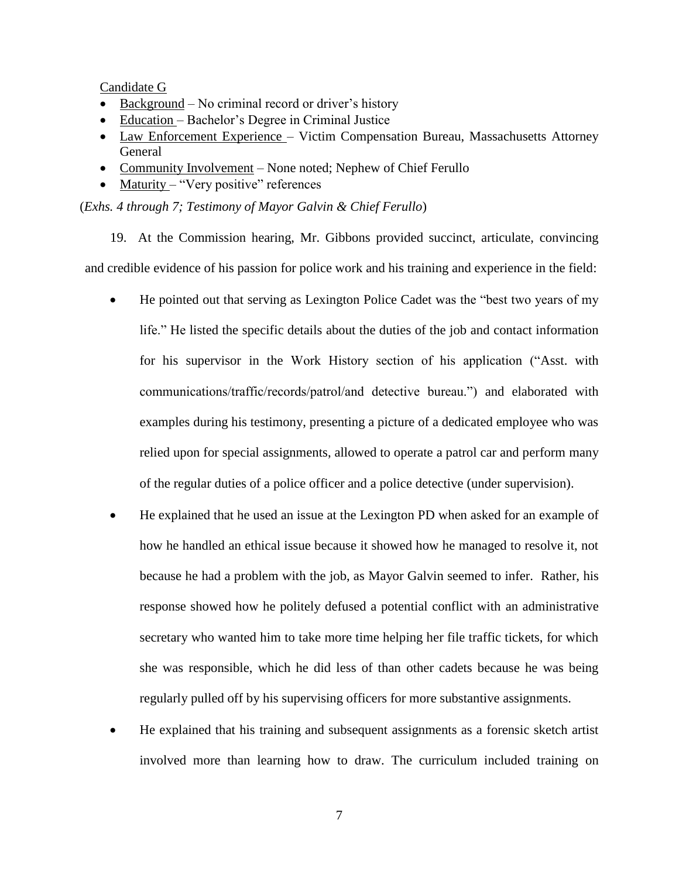Candidate G

- Background No criminal record or driver's history
- Education Bachelor's Degree in Criminal Justice
- Law Enforcement Experience Victim Compensation Bureau, Massachusetts Attorney General
- Community Involvement None noted; Nephew of Chief Ferullo
- Maturity "Very positive" references

(*Exhs. 4 through 7; Testimony of Mayor Galvin & Chief Ferullo*)

19. At the Commission hearing, Mr. Gibbons provided succinct, articulate, convincing and credible evidence of his passion for police work and his training and experience in the field:

- He pointed out that serving as Lexington Police Cadet was the "best two years of my life." He listed the specific details about the duties of the job and contact information for his supervisor in the Work History section of his application ("Asst. with communications/traffic/records/patrol/and detective bureau.") and elaborated with examples during his testimony, presenting a picture of a dedicated employee who was relied upon for special assignments, allowed to operate a patrol car and perform many of the regular duties of a police officer and a police detective (under supervision).
- He explained that he used an issue at the Lexington PD when asked for an example of how he handled an ethical issue because it showed how he managed to resolve it, not because he had a problem with the job, as Mayor Galvin seemed to infer. Rather, his response showed how he politely defused a potential conflict with an administrative secretary who wanted him to take more time helping her file traffic tickets, for which she was responsible, which he did less of than other cadets because he was being regularly pulled off by his supervising officers for more substantive assignments.
- He explained that his training and subsequent assignments as a forensic sketch artist involved more than learning how to draw. The curriculum included training on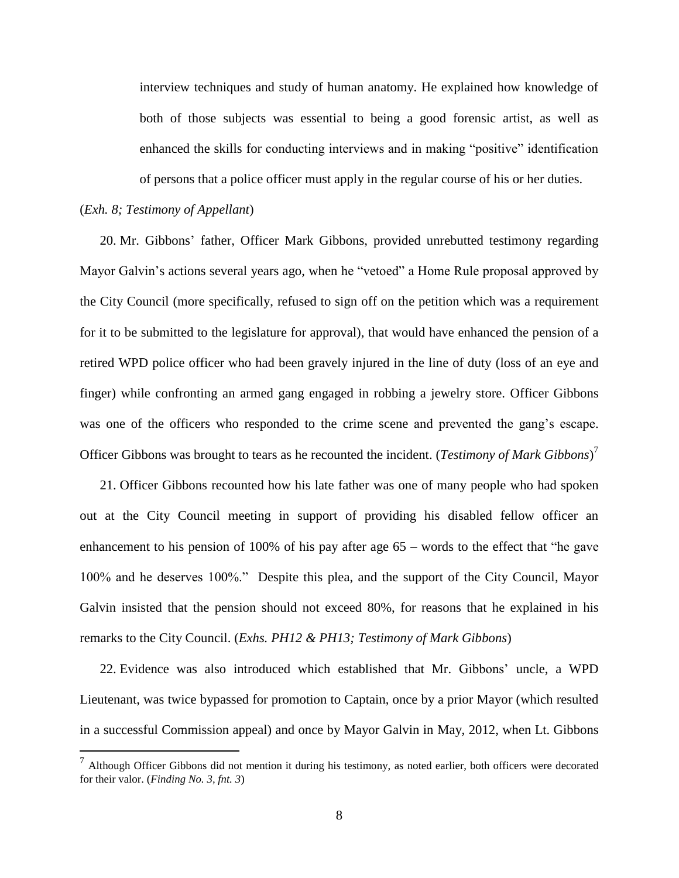interview techniques and study of human anatomy. He explained how knowledge of both of those subjects was essential to being a good forensic artist, as well as enhanced the skills for conducting interviews and in making "positive" identification of persons that a police officer must apply in the regular course of his or her duties.

#### (*Exh. 8; Testimony of Appellant*)

 $\overline{a}$ 

20. Mr. Gibbons' father, Officer Mark Gibbons, provided unrebutted testimony regarding Mayor Galvin's actions several years ago, when he "vetoed" a Home Rule proposal approved by the City Council (more specifically, refused to sign off on the petition which was a requirement for it to be submitted to the legislature for approval), that would have enhanced the pension of a retired WPD police officer who had been gravely injured in the line of duty (loss of an eye and finger) while confronting an armed gang engaged in robbing a jewelry store. Officer Gibbons was one of the officers who responded to the crime scene and prevented the gang's escape. Officer Gibbons was brought to tears as he recounted the incident. (*Testimony of Mark Gibbons*) 7

21. Officer Gibbons recounted how his late father was one of many people who had spoken out at the City Council meeting in support of providing his disabled fellow officer an enhancement to his pension of 100% of his pay after age 65 – words to the effect that "he gave 100% and he deserves 100%." Despite this plea, and the support of the City Council, Mayor Galvin insisted that the pension should not exceed 80%, for reasons that he explained in his remarks to the City Council. (*Exhs. PH12 & PH13; Testimony of Mark Gibbons*)

22. Evidence was also introduced which established that Mr. Gibbons' uncle, a WPD Lieutenant, was twice bypassed for promotion to Captain, once by a prior Mayor (which resulted in a successful Commission appeal) and once by Mayor Galvin in May, 2012, when Lt. Gibbons

 $<sup>7</sup>$  Although Officer Gibbons did not mention it during his testimony, as noted earlier, both officers were decorated</sup> for their valor. (*Finding No. 3, fnt. 3*)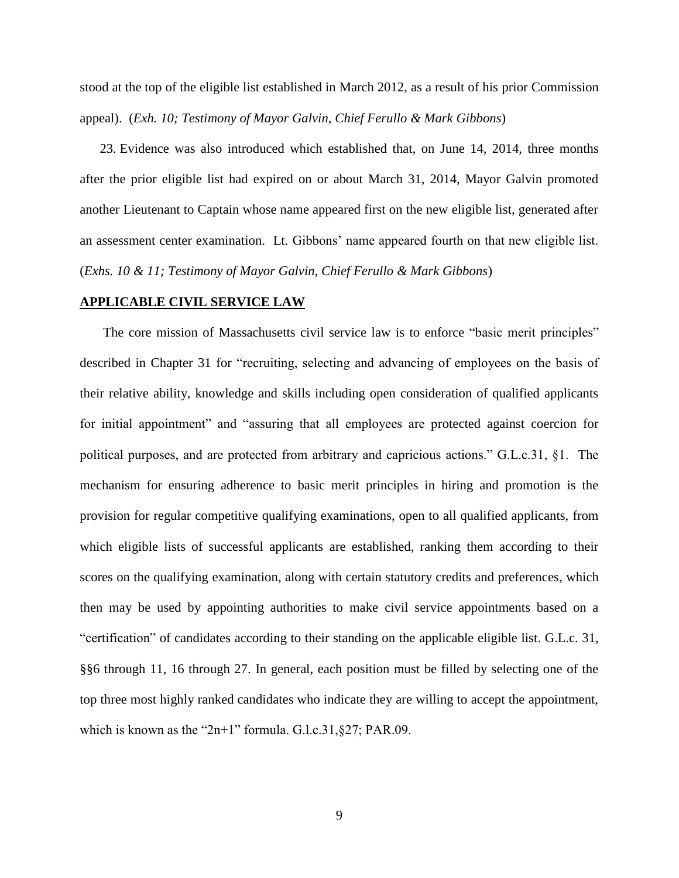stood at the top of the eligible list established in March 2012, as a result of his prior Commission appeal). (*Exh. 10; Testimony of Mayor Galvin, Chief Ferullo & Mark Gibbons*)

23. Evidence was also introduced which established that, on June 14, 2014, three months after the prior eligible list had expired on or about March 31, 2014, Mayor Galvin promoted another Lieutenant to Captain whose name appeared first on the new eligible list, generated after an assessment center examination. Lt. Gibbons' name appeared fourth on that new eligible list. (*Exhs. 10 & 11; Testimony of Mayor Galvin, Chief Ferullo & Mark Gibbons*)

### **APPLICABLE CIVIL SERVICE LAW**

The core mission of Massachusetts civil service law is to enforce "basic merit principles" described in Chapter 31 for "recruiting, selecting and advancing of employees on the basis of their relative ability, knowledge and skills including open consideration of qualified applicants for initial appointment" and "assuring that all employees are protected against coercion for political purposes, and are protected from arbitrary and capricious actions." G.L.c.31, §1. The mechanism for ensuring adherence to basic merit principles in hiring and promotion is the provision for regular competitive qualifying examinations, open to all qualified applicants, from which eligible lists of successful applicants are established, ranking them according to their scores on the qualifying examination, along with certain statutory credits and preferences, which then may be used by appointing authorities to make civil service appointments based on a "certification" of candidates according to their standing on the applicable eligible list. G.L.c. 31, §§6 through 11, 16 through 27. In general, each position must be filled by selecting one of the top three most highly ranked candidates who indicate they are willing to accept the appointment, which is known as the "2n+1" formula. G.l.c.31, §27; PAR.09.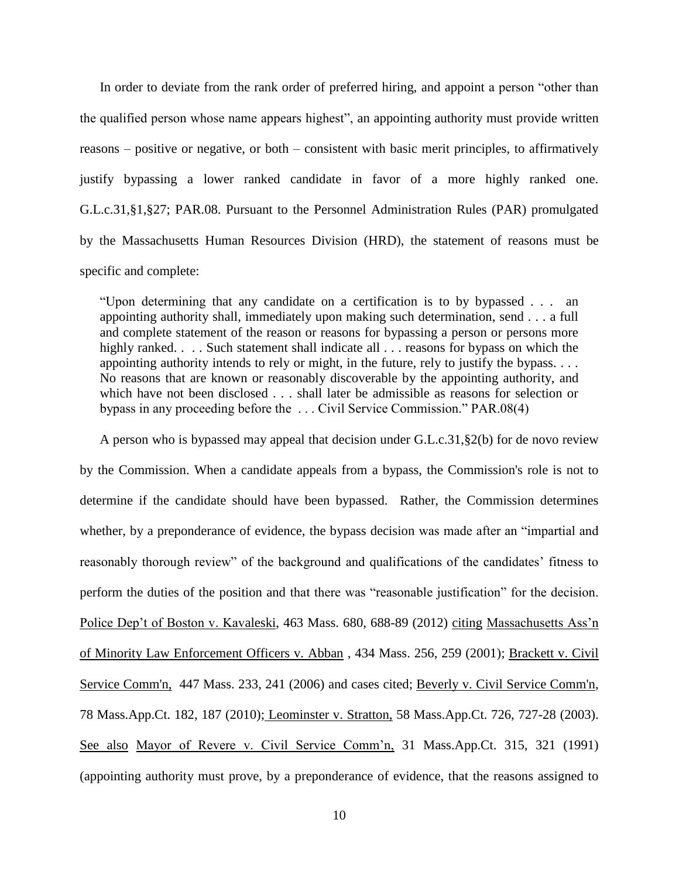In order to deviate from the rank order of preferred hiring, and appoint a person "other than the qualified person whose name appears highest", an appointing authority must provide written reasons – positive or negative, or both – consistent with basic merit principles, to affirmatively justify bypassing a lower ranked candidate in favor of a more highly ranked one. G.L.c.31,§1,§27; PAR.08. Pursuant to the Personnel Administration Rules (PAR) promulgated by the Massachusetts Human Resources Division (HRD), the statement of reasons must be specific and complete:

"Upon determining that any candidate on a certification is to by bypassed . . . an appointing authority shall, immediately upon making such determination, send . . . a full and complete statement of the reason or reasons for bypassing a person or persons more highly ranked. . . . Such statement shall indicate all . . . reasons for bypass on which the appointing authority intends to rely or might, in the future, rely to justify the bypass. . . . No reasons that are known or reasonably discoverable by the appointing authority, and which have not been disclosed . . . shall later be admissible as reasons for selection or bypass in any proceeding before the . . . Civil Service Commission." PAR.08(4)

A person who is bypassed may appeal that decision under G.L.c.31,§2(b) for de novo review by the Commission. When a candidate appeals from a bypass, the Commission's role is not to determine if the candidate should have been bypassed. Rather, the Commission determines whether, by a preponderance of evidence, the bypass decision was made after an "impartial and reasonably thorough review" of the background and qualifications of the candidates' fitness to perform the duties of the position and that there was "reasonable justification" for the decision. Police Dep't of Boston v. Kavaleski, 463 Mass. 680, 688-89 (2012) citing Massachusetts Ass'n of Minority Law Enforcement Officers v. Abban , 434 Mass. 256, 259 (2001); [Brackett v. Civil](http://web2.westlaw.com/find/default.wl?mt=Massachusetts&db=578&rs=WLW15.04&tc=-1&rp=%2ffind%2fdefault.wl&findtype=Y&ordoc=2029136022&serialnum=2009543382&vr=2.0&fn=_top&sv=Split&tf=-1&pbc=70F732C1&utid=1)  [Service Comm'n, 447 Mass. 233, 241 \(2006\)](http://web2.westlaw.com/find/default.wl?mt=Massachusetts&db=578&rs=WLW15.04&tc=-1&rp=%2ffind%2fdefault.wl&findtype=Y&ordoc=2029136022&serialnum=2009543382&vr=2.0&fn=_top&sv=Split&tf=-1&pbc=70F732C1&utid=1) and cases cited; [Beverly v. Civil Service Comm'n,](http://web2.westlaw.com/find/default.wl?mt=Massachusetts&db=578&rs=WLW15.04&tc=-1&rp=%2ffind%2fdefault.wl&findtype=Y&ordoc=2029136022&serialnum=2023501172&vr=2.0&fn=_top&sv=Split&tf=-1&pbc=70F732C1&utid=1)  [78 Mass.App.Ct. 182, 187 \(2010\);](http://web2.westlaw.com/find/default.wl?mt=Massachusetts&db=578&rs=WLW15.04&tc=-1&rp=%2ffind%2fdefault.wl&findtype=Y&ordoc=2029136022&serialnum=2023501172&vr=2.0&fn=_top&sv=Split&tf=-1&pbc=70F732C1&utid=1) Leominster v. Stratton, 58 Mass.App.Ct. 726, 727-28 (2003). See also Mayor of Revere v. Civil Service Comm'n, 31 Mass.App.Ct. 315, 321 (1991) (appointing authority must prove, by a preponderance of evidence, that the reasons assigned to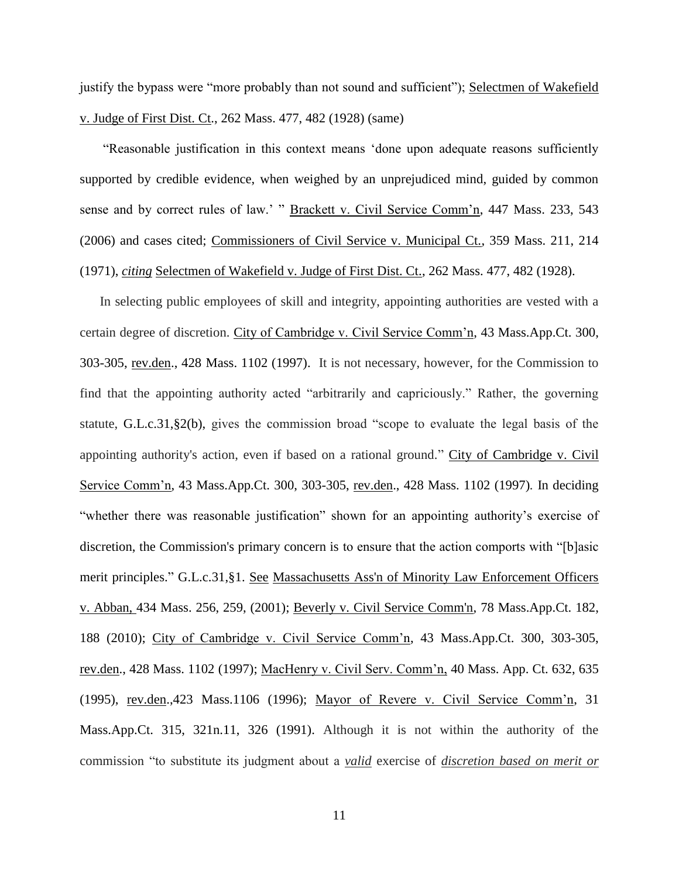justify the bypass were "more probably than not sound and sufficient"); Selectmen of Wakefield v. Judge of First Dist. Ct., 262 Mass. 477, 482 (1928) (same)

"Reasonable justification in this context means 'done upon adequate reasons sufficiently supported by credible evidence, when weighed by an unprejudiced mind, guided by common sense and by correct rules of law.' " Brackett v. Civil Service Comm'n, 447 Mass. 233, 543 (2006) and cases cited; Commissioners of Civil Service v. Municipal Ct., 359 Mass. 211, 214 (1971), *citing* Selectmen of Wakefield v. Judge of First Dist. Ct., 262 Mass. 477, 482 (1928).

In selecting public employees of skill and integrity, appointing authorities are vested with a certain degree of discretion. City of Cambridge v. Civil Service Comm'n, 43 Mass.App.Ct. 300, 303-305, rev.den., 428 Mass. 1102 (1997). It is not necessary, however, for the Commission to find that the appointing authority acted "arbitrarily and capriciously." Rather, the governing statute, [G.L.c.31,§2\(b\),](https://1.next.westlaw.com/Link/Document/FullText?findType=L&pubNum=1000042&cite=MAST31S2&originatingDoc=Ib21af0ded3bd11d99439b076ef9ec4de&refType=LQ&originationContext=document&transitionType=DocumentItem&contextData=(sc.History*oc.UserEnteredCitation)) gives the commission broad "scope to evaluate the legal basis of the appointing authority's action, even if based on a rational ground." City of Cambridge v. Civil Service Comm'n, 43 Mass.App.Ct. 300, 303-305, rev.den., 428 Mass. 1102 (1997)*.* In deciding "whether there was reasonable justification" shown for an appointing authority's exercise of discretion, the Commission's primary concern is to ensure that the action comports with "[b]asic merit principles." [G.L.c.31,§1.](http://web2.westlaw.com/find/default.wl?mt=Massachusetts&db=1000042&rs=WLW15.04&docname=MAST31S1&rp=%2ffind%2fdefault.wl&findtype=L&ordoc=2029136022&tc=-1&vr=2.0&fn=_top&sv=Split&tf=-1&pbc=70F732C1&utid=1) See Massachusetts Ass'n of Minority Law Enforcement Officers v. Abban, [434 Mass. 256, 259, \(2001\);](http://web2.westlaw.com/find/default.wl?mt=Massachusetts&db=578&rs=WLW15.04&tc=-1&rp=%2ffind%2fdefault.wl&findtype=Y&ordoc=2029136022&serialnum=2001441097&vr=2.0&fn=_top&sv=Split&tf=-1&pbc=70F732C1&utid=1) [Beverly v. Civil Service Comm'n, 78 Mass.App.Ct. 182,](http://web2.westlaw.com/find/default.wl?mt=Massachusetts&db=578&rs=WLW15.04&tc=-1&rp=%2ffind%2fdefault.wl&findtype=Y&ordoc=2029136022&serialnum=2023501172&vr=2.0&fn=_top&sv=Split&tf=-1&pbc=70F732C1&utid=1)  [188 \(2010\);](http://web2.westlaw.com/find/default.wl?mt=Massachusetts&db=578&rs=WLW15.04&tc=-1&rp=%2ffind%2fdefault.wl&findtype=Y&ordoc=2029136022&serialnum=2023501172&vr=2.0&fn=_top&sv=Split&tf=-1&pbc=70F732C1&utid=1) City of Cambridge v. Civil Service Comm'n, 43 Mass.App.Ct. 300, 303-305, rev.den., 428 Mass. 1102 (1997); MacHenry v. Civil Serv. Comm'n, 40 Mass. App. Ct. 632, 635 (1995), rev.den.,423 Mass.1106 (1996); Mayor of Revere v. Civil Service Comm'n, 31 Mass.App.Ct. 315, 321n.11, 326 (1991). Although it is not within the authority of the commission "to substitute its judgment about a *valid* exercise of *discretion based on merit or* 

11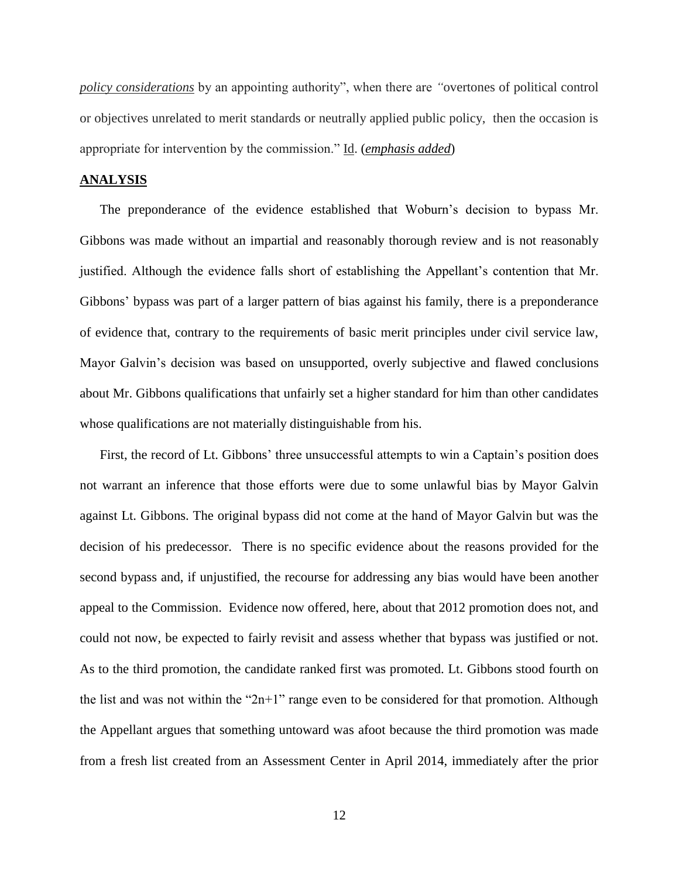*policy considerations* by an appointing authority", when there are *"*overtones of political control or objectives unrelated to merit standards or neutrally applied public policy, then the occasion is appropriate for intervention by the commission." Id. (*emphasis added*)

#### **ANALYSIS**

The preponderance of the evidence established that Woburn's decision to bypass Mr. Gibbons was made without an impartial and reasonably thorough review and is not reasonably justified. Although the evidence falls short of establishing the Appellant's contention that Mr. Gibbons' bypass was part of a larger pattern of bias against his family, there is a preponderance of evidence that, contrary to the requirements of basic merit principles under civil service law, Mayor Galvin's decision was based on unsupported, overly subjective and flawed conclusions about Mr. Gibbons qualifications that unfairly set a higher standard for him than other candidates whose qualifications are not materially distinguishable from his.

First, the record of Lt. Gibbons' three unsuccessful attempts to win a Captain's position does not warrant an inference that those efforts were due to some unlawful bias by Mayor Galvin against Lt. Gibbons. The original bypass did not come at the hand of Mayor Galvin but was the decision of his predecessor. There is no specific evidence about the reasons provided for the second bypass and, if unjustified, the recourse for addressing any bias would have been another appeal to the Commission. Evidence now offered, here, about that 2012 promotion does not, and could not now, be expected to fairly revisit and assess whether that bypass was justified or not. As to the third promotion, the candidate ranked first was promoted. Lt. Gibbons stood fourth on the list and was not within the " $2n+1$ " range even to be considered for that promotion. Although the Appellant argues that something untoward was afoot because the third promotion was made from a fresh list created from an Assessment Center in April 2014, immediately after the prior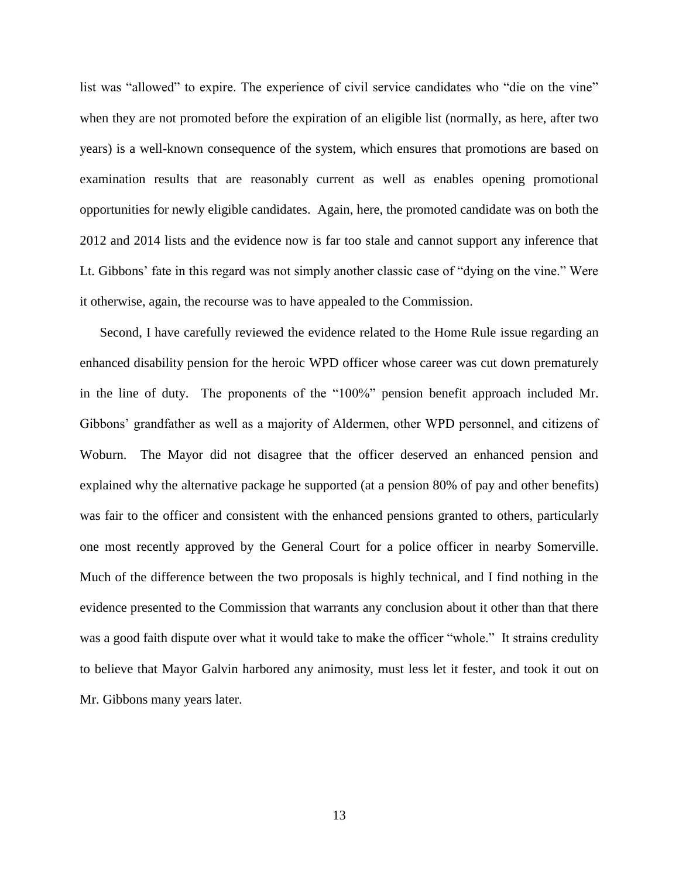list was "allowed" to expire. The experience of civil service candidates who "die on the vine" when they are not promoted before the expiration of an eligible list (normally, as here, after two years) is a well-known consequence of the system, which ensures that promotions are based on examination results that are reasonably current as well as enables opening promotional opportunities for newly eligible candidates. Again, here, the promoted candidate was on both the 2012 and 2014 lists and the evidence now is far too stale and cannot support any inference that Lt. Gibbons' fate in this regard was not simply another classic case of "dying on the vine." Were it otherwise, again, the recourse was to have appealed to the Commission.

Second, I have carefully reviewed the evidence related to the Home Rule issue regarding an enhanced disability pension for the heroic WPD officer whose career was cut down prematurely in the line of duty. The proponents of the "100%" pension benefit approach included Mr. Gibbons' grandfather as well as a majority of Aldermen, other WPD personnel, and citizens of Woburn. The Mayor did not disagree that the officer deserved an enhanced pension and explained why the alternative package he supported (at a pension 80% of pay and other benefits) was fair to the officer and consistent with the enhanced pensions granted to others, particularly one most recently approved by the General Court for a police officer in nearby Somerville. Much of the difference between the two proposals is highly technical, and I find nothing in the evidence presented to the Commission that warrants any conclusion about it other than that there was a good faith dispute over what it would take to make the officer "whole." It strains credulity to believe that Mayor Galvin harbored any animosity, must less let it fester, and took it out on Mr. Gibbons many years later.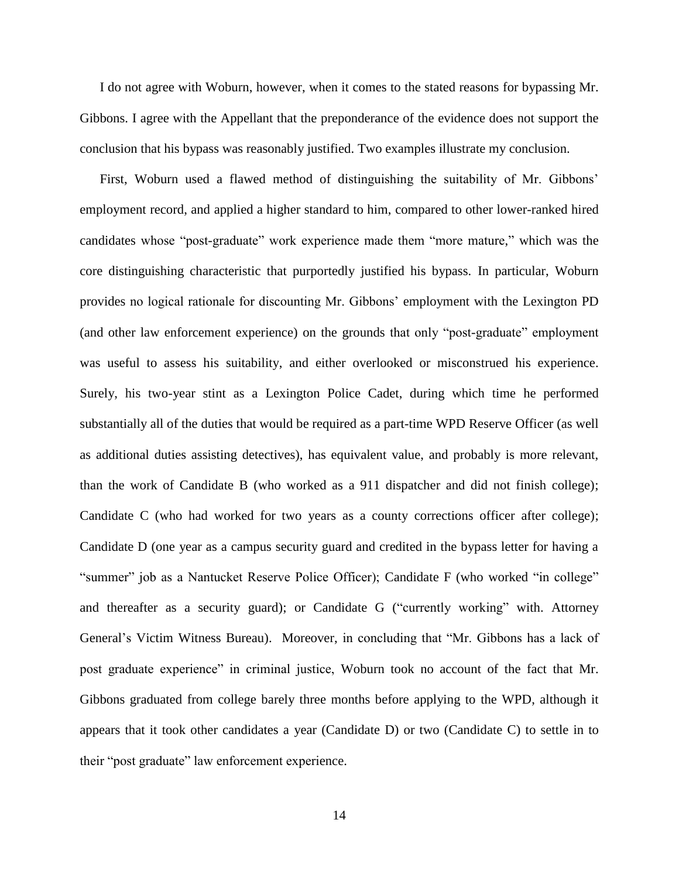I do not agree with Woburn, however, when it comes to the stated reasons for bypassing Mr. Gibbons. I agree with the Appellant that the preponderance of the evidence does not support the conclusion that his bypass was reasonably justified. Two examples illustrate my conclusion.

First, Woburn used a flawed method of distinguishing the suitability of Mr. Gibbons' employment record, and applied a higher standard to him, compared to other lower-ranked hired candidates whose "post-graduate" work experience made them "more mature," which was the core distinguishing characteristic that purportedly justified his bypass. In particular, Woburn provides no logical rationale for discounting Mr. Gibbons' employment with the Lexington PD (and other law enforcement experience) on the grounds that only "post-graduate" employment was useful to assess his suitability, and either overlooked or misconstrued his experience. Surely, his two-year stint as a Lexington Police Cadet, during which time he performed substantially all of the duties that would be required as a part-time WPD Reserve Officer (as well as additional duties assisting detectives), has equivalent value, and probably is more relevant, than the work of Candidate B (who worked as a 911 dispatcher and did not finish college); Candidate C (who had worked for two years as a county corrections officer after college); Candidate D (one year as a campus security guard and credited in the bypass letter for having a "summer" job as a Nantucket Reserve Police Officer); Candidate F (who worked "in college" and thereafter as a security guard); or Candidate G ("currently working" with. Attorney General's Victim Witness Bureau). Moreover, in concluding that "Mr. Gibbons has a lack of post graduate experience" in criminal justice, Woburn took no account of the fact that Mr. Gibbons graduated from college barely three months before applying to the WPD, although it appears that it took other candidates a year (Candidate D) or two (Candidate C) to settle in to their "post graduate" law enforcement experience.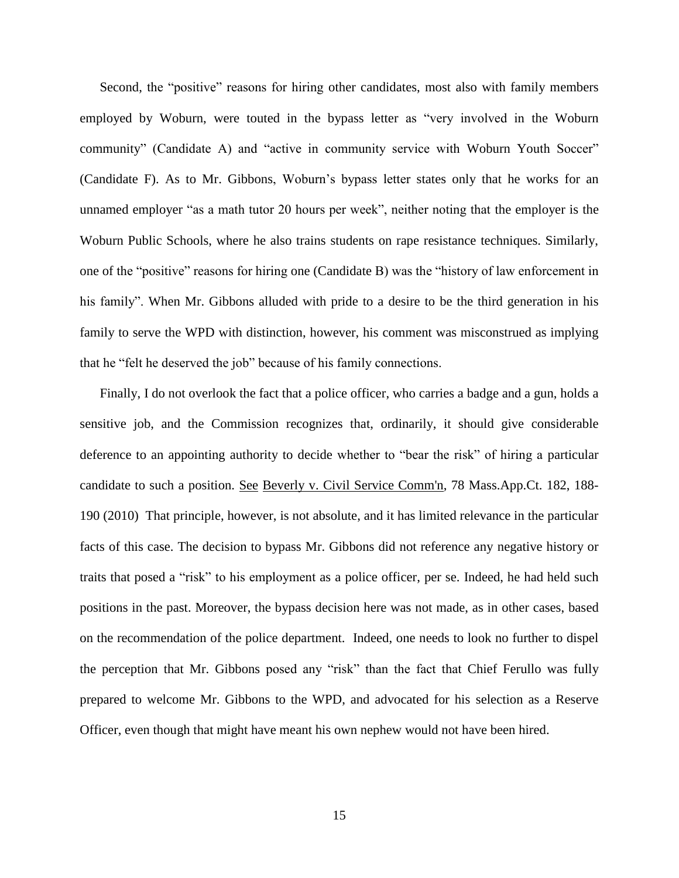Second, the "positive" reasons for hiring other candidates, most also with family members employed by Woburn, were touted in the bypass letter as "very involved in the Woburn community" (Candidate A) and "active in community service with Woburn Youth Soccer" (Candidate F). As to Mr. Gibbons, Woburn's bypass letter states only that he works for an unnamed employer "as a math tutor 20 hours per week", neither noting that the employer is the Woburn Public Schools, where he also trains students on rape resistance techniques. Similarly, one of the "positive" reasons for hiring one (Candidate B) was the "history of law enforcement in his family". When Mr. Gibbons alluded with pride to a desire to be the third generation in his family to serve the WPD with distinction, however, his comment was misconstrued as implying that he "felt he deserved the job" because of his family connections.

Finally, I do not overlook the fact that a police officer, who carries a badge and a gun, holds a sensitive job, and the Commission recognizes that, ordinarily, it should give considerable deference to an appointing authority to decide whether to "bear the risk" of hiring a particular candidate to such a position. See [Beverly v. Civil Service Comm'n, 78 Mass.App.Ct. 182, 188-](http://web2.westlaw.com/find/default.wl?mt=Massachusetts&db=578&rs=WLW15.04&tc=-1&rp=%2ffind%2fdefault.wl&findtype=Y&ordoc=2029136022&serialnum=2023501172&vr=2.0&fn=_top&sv=Split&tf=-1&pbc=70F732C1&utid=1) 190 [\(2010\)](http://web2.westlaw.com/find/default.wl?mt=Massachusetts&db=578&rs=WLW15.04&tc=-1&rp=%2ffind%2fdefault.wl&findtype=Y&ordoc=2029136022&serialnum=2023501172&vr=2.0&fn=_top&sv=Split&tf=-1&pbc=70F732C1&utid=1) That principle, however, is not absolute, and it has limited relevance in the particular facts of this case. The decision to bypass Mr. Gibbons did not reference any negative history or traits that posed a "risk" to his employment as a police officer, per se. Indeed, he had held such positions in the past. Moreover, the bypass decision here was not made, as in other cases, based on the recommendation of the police department. Indeed, one needs to look no further to dispel the perception that Mr. Gibbons posed any "risk" than the fact that Chief Ferullo was fully prepared to welcome Mr. Gibbons to the WPD, and advocated for his selection as a Reserve Officer, even though that might have meant his own nephew would not have been hired.